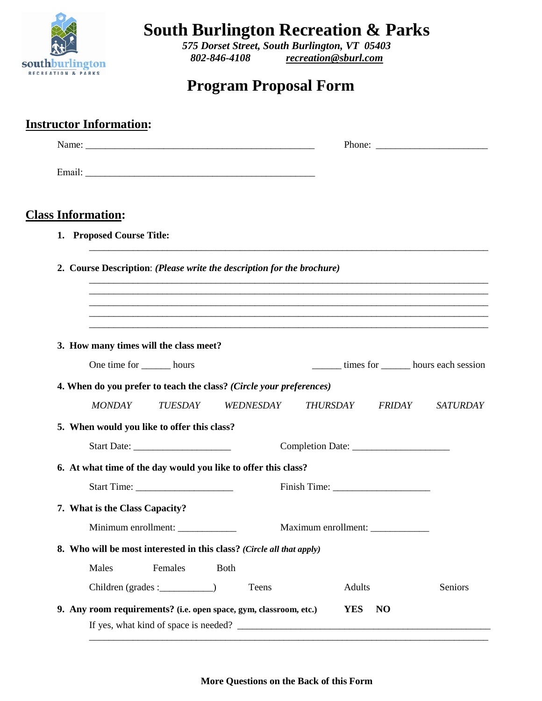

**South Burlington Recreation & Parks**

*575 Dorset Street, South Burlington, VT 05403 802-846-4108 [recreation@sburl.com](mailto:recreation@sburl.com)*

## **Program Proposal Form**

| <b>Instructor Information:</b>                                 |                                                                                                                                    |                                            |                 |  |  |
|----------------------------------------------------------------|------------------------------------------------------------------------------------------------------------------------------------|--------------------------------------------|-----------------|--|--|
|                                                                |                                                                                                                                    |                                            |                 |  |  |
|                                                                |                                                                                                                                    |                                            |                 |  |  |
| <b>Class Information:</b>                                      |                                                                                                                                    |                                            |                 |  |  |
| 1. Proposed Course Title:                                      |                                                                                                                                    |                                            |                 |  |  |
|                                                                | 2. Course Description: (Please write the description for the brochure)<br><u> 1989 - Jan Baratti, martxa al III-lea (h. 1989).</u> |                                            |                 |  |  |
|                                                                |                                                                                                                                    |                                            |                 |  |  |
|                                                                |                                                                                                                                    |                                            |                 |  |  |
| 3. How many times will the class meet?                         |                                                                                                                                    |                                            |                 |  |  |
| One time for ________ hours                                    |                                                                                                                                    | times for <u>second</u> hours each session |                 |  |  |
|                                                                | 4. When do you prefer to teach the class? (Circle your preferences)                                                                |                                            |                 |  |  |
| <b>MONDAY</b><br><b>TUESDAY</b>                                | WEDNESDAY                                                                                                                          | <b>THURSDAY</b><br><i>FRIDAY</i>           | <i>SATURDAY</i> |  |  |
| 5. When would you like to offer this class?                    |                                                                                                                                    |                                            |                 |  |  |
|                                                                |                                                                                                                                    |                                            |                 |  |  |
| 6. At what time of the day would you like to offer this class? |                                                                                                                                    |                                            |                 |  |  |
|                                                                |                                                                                                                                    |                                            |                 |  |  |
| 7. What is the Class Capacity?                                 |                                                                                                                                    |                                            |                 |  |  |
| Minimum enrollment: ____________                               |                                                                                                                                    | Maximum enrollment: _____________          |                 |  |  |
|                                                                | 8. Who will be most interested in this class? (Circle all that apply)                                                              |                                            |                 |  |  |
| Females<br>Males                                               | <b>Both</b>                                                                                                                        |                                            |                 |  |  |
|                                                                | Teens                                                                                                                              | Adults                                     | Seniors         |  |  |
|                                                                | 9. Any room requirements? (i.e. open space, gym, classroom, etc.)                                                                  | YES<br>NO                                  |                 |  |  |

**More Questions on the Back of this Form**